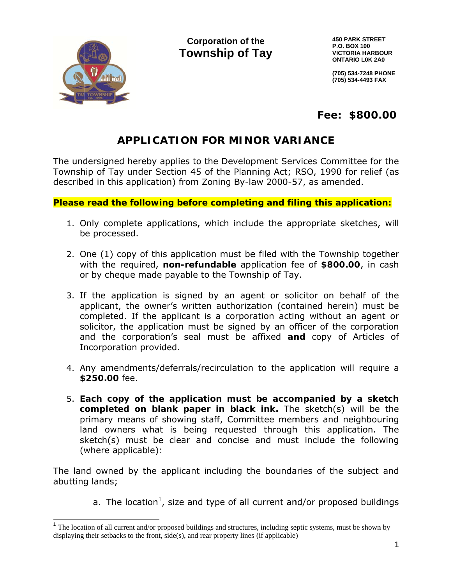

**Corporation of the Towns ship of T Tay**  **45 50 PARK STREE ET P. O. BOX 100 VI ICTORIA HARBO OUR ON NTARIO L0K 2A A0** 

**(7 05) 534-7248 PH HONE (7 05) 534-4493 FA AX** 

 **Fee : \$800. .00**

# **APPLICATION FOR MINOR VARIANCE**

The undersigned hereby applies to the Development Services Committee for the Township of Tay under Section 45 of the Planning Act; RSO, 1990 for relief (as described in this application) from Zoning By-law 2000-57, as amended.

**Please read the following before completing and filing this application:** 

- 1. Only complete applications, which include the appropriate sketches, will be processed.
- 2. One (1) copy of this application must be filed with the Township together with the required, non-refundable application fee of \$800.00, in cash or by cheque made payable to the Township of Tay.
- 3. If the application is signed by an agent or solicitor on behalf of the applicant, the owner's written authorization (contained herein) must be completed. If the applicant is a corporation acting without an agent or solicitor, the application must be signed by an officer of the corporation and the corporation's seal must be affixed and copy of Articles of Incorporation provided.
- 4. Any amendments/deferrals/recirculation to the application will require a \$250.00 fee.
- 5. Each copy of the application must be accompanied by a sketch completed on blank paper in black ink. The sketch(s) will be the primary means of showing staff, Committee members and neighbouring land owners what is being requested through this application. The sketch(s) must be clear and concise and must include the following (where applicable):

The land owned by the applicant including the boundaries of the subject and abutting g lands;

a. The location<sup>1</sup>, size and type of all current and/or proposed buildings

<sup>&</sup>lt;sup>1</sup> The location of all current and/or proposed buildings and structures, including septic systems, must be shown by displaying their setbacks to the front, side(s), and rear property lines (if applicable)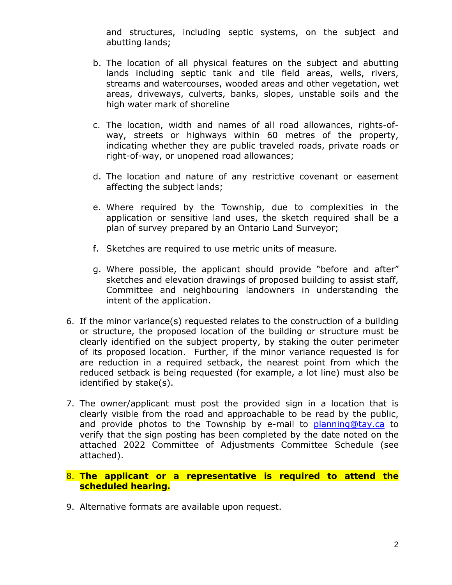and structures, including septic systems, on the subject and abutting lands;

- b. The location of all physical features on the subject and abutting lands including septic tank and tile field areas, wells, rivers, streams and watercourses, wooded areas and other vegetation, wet areas, driveways, culverts, banks, slopes, unstable soils and the high water mark of shoreline
- c. The location, width and names of all road allowances, rights-ofway, streets or highways within 60 metres of the property, indicating whether they are public traveled roads, private roads or right-of-way, or unopened road allowances;
- d. The location and nature of any restrictive covenant or easement affecting the subject lands;
- e. Where required by the Township, due to complexities in the application or sensitive land uses, the sketch required shall be a plan of survey prepared by an Ontario Land Surveyor;
- f. Sketches are required to use metric units of measure.
- g. Where possible, the applicant should provide "before and after" sketches and elevation drawings of proposed building to assist staff, Committee and neighbouring landowners in understanding the intent of the application.
- 6. If the minor variance(s) requested relates to the construction of a building or structure, the proposed location of the building or structure must be clearly identified on the subject property, by staking the outer perimeter of its proposed location. Further, if the minor variance requested is for are reduction in a required setback, the nearest point from which the reduced setback is being requested (for example, a lot line) must also be identified by stake(s).
- 7. The owner/applicant must post the provided sign in a location that is clearly visible from the road and approachable to be read by the public, and provide photos to the Township by e-mail to planning@tay.ca to verify that the sign posting has been completed by the date noted on the attached 2022 Committee of Adjustments Committee Schedule (see attached).
- 8. **The applicant or a representative is required to attend the scheduled hearing.**
- 9. Alternative formats are available upon request.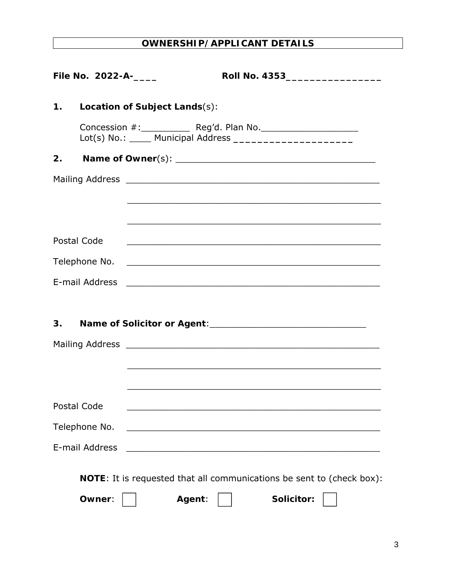# **OWNERSHIP/APPLICANT DETAILS**

| File No. 2022-A-___ | Roll No. 4353____________________                                                                                                               |
|---------------------|-------------------------------------------------------------------------------------------------------------------------------------------------|
| 1.                  | Location of Subject Lands(s):                                                                                                                   |
| 2.                  |                                                                                                                                                 |
|                     | <u> 1989 - Johann Stoff, amerikansk politiker (d. 1989)</u><br>,我们也不会有什么。""我们的人,我们也不会有什么?""我们的人,我们也不会有什么?""我们的人,我们也不会有什么?""我们的人,我们也不会有什么?""我们的人 |
| Postal Code         | <u> 1989 - Johann Stoff, amerikan bestein de stad in de stad in de stad in de stad in de stad in de stad in de st</u>                           |
|                     |                                                                                                                                                 |
|                     |                                                                                                                                                 |
| 3.                  | Name of Solicitor or Agent:<br><u> </u>                                                                                                         |
|                     |                                                                                                                                                 |
| Postal Code         | <u> 1989 - Johann Barn, mars ann an t-Amhainn an t-Amhainn an t-Amhainn an t-Amhainn an t-Amhainn an t-Amhainn an </u>                          |
| Telephone No.       | <u> 1989 - Johann John Stein, mars an deutscher Stein und der Stein und der Stein und der Stein und der Stein und</u>                           |
| E-mail Address      | <u> 1989 - Johann John Stein, mars et al. 1989 - John Stein, mars et al. 1989 - John Stein, mars et al. 1989 - Joh</u>                          |
|                     | <b>NOTE:</b> It is requested that all communications be sent to (check box):                                                                    |
| Owner:              | Solicitor:<br>Agent:                                                                                                                            |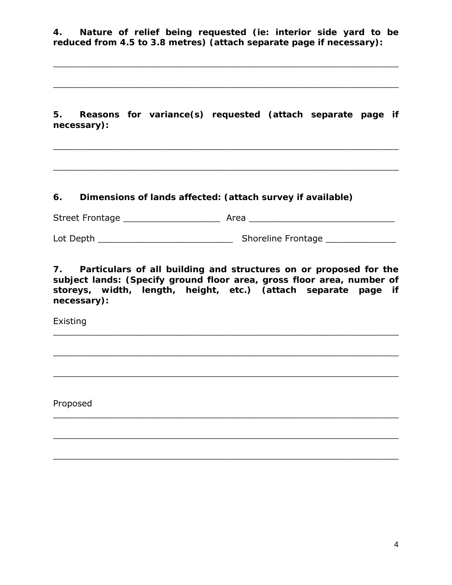**4. Nature of relief being requested (ie: interior side yard to be reduced from 4.5 to 3.8 metres) (attach separate page if necessary):**

 $\_$  , and the contribution of the contribution of  $\mathcal{L}_\mathcal{A}$  , and the contribution of  $\mathcal{L}_\mathcal{A}$ 

\_\_\_\_\_\_\_\_\_\_\_\_\_\_\_\_\_\_\_\_\_\_\_\_\_\_\_\_\_\_\_\_\_\_\_\_\_\_\_\_\_\_\_\_\_\_\_\_\_\_\_\_\_\_\_\_\_\_\_\_\_\_\_\_

**5. Reasons for variance(s) requested (attach separate page if necessary):**

 $\_$  , and the contribution of the contribution of  $\mathcal{L}_\mathcal{A}$  , and the contribution of  $\mathcal{L}_\mathcal{A}$ 

\_\_\_\_\_\_\_\_\_\_\_\_\_\_\_\_\_\_\_\_\_\_\_\_\_\_\_\_\_\_\_\_\_\_\_\_\_\_\_\_\_\_\_\_\_\_\_\_\_\_\_\_\_\_\_\_\_\_\_\_\_\_\_\_

### **6. Dimensions of lands affected: (attach survey if available)**

Street Frontage \_\_\_\_\_\_\_\_\_\_\_\_\_\_\_\_\_\_ Area \_\_\_\_\_\_\_\_\_\_\_\_\_\_\_\_\_\_\_\_\_\_\_\_\_\_\_

Lot Depth \_\_\_\_\_\_\_\_\_\_\_\_\_\_\_\_\_\_\_\_\_\_\_\_\_ Shoreline Frontage \_\_\_\_\_\_\_\_\_\_\_\_\_

**7. Particulars of all building and structures on or proposed for the subject lands: (Specify ground floor area, gross floor area, number of storeys, width, length, height, etc.) (attach separate page if necessary):** 

\_\_\_\_\_\_\_\_\_\_\_\_\_\_\_\_\_\_\_\_\_\_\_\_\_\_\_\_\_\_\_\_\_\_\_\_\_\_\_\_\_\_\_\_\_\_\_\_\_\_\_\_\_\_\_\_\_\_\_\_\_\_\_\_

\_\_\_\_\_\_\_\_\_\_\_\_\_\_\_\_\_\_\_\_\_\_\_\_\_\_\_\_\_\_\_\_\_\_\_\_\_\_\_\_\_\_\_\_\_\_\_\_\_\_\_\_\_\_\_\_\_\_\_\_\_\_\_\_

 $\_$  , and the contribution of the contribution of  $\mathcal{L}_\mathcal{A}$  , and the contribution of  $\mathcal{L}_\mathcal{A}$ 

\_\_\_\_\_\_\_\_\_\_\_\_\_\_\_\_\_\_\_\_\_\_\_\_\_\_\_\_\_\_\_\_\_\_\_\_\_\_\_\_\_\_\_\_\_\_\_\_\_\_\_\_\_\_\_\_\_\_\_\_\_\_\_\_

 $\_$  , and the contribution of the contribution of  $\mathcal{L}_\mathcal{A}$  , and the contribution of  $\mathcal{L}_\mathcal{A}$ 

Existing

Proposed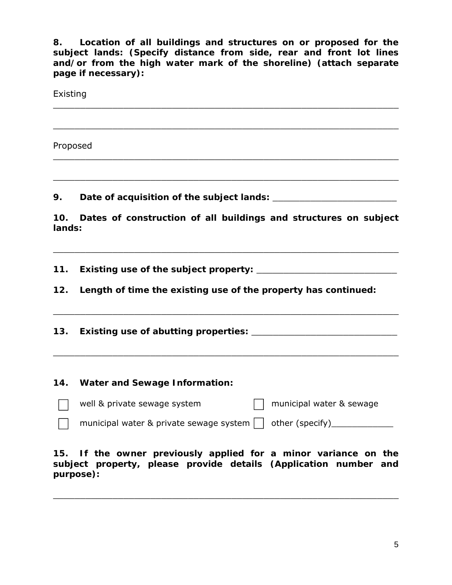**8. Location of all buildings and structures on or proposed for the subject lands: (Specify distance from side, rear and front lot lines and/or from the high water mark of the shoreline) (attach separate page if necessary):**

| Existing |                                                                                                                  |  |  |  |
|----------|------------------------------------------------------------------------------------------------------------------|--|--|--|
| Proposed | ,我们也不会有什么。""我们的人,我们也不会有什么?""我们的人,我们也不会有什么?""我们的人,我们也不会有什么?""我们的人,我们也不会有什么?""我们的人                                 |  |  |  |
| 9.       |                                                                                                                  |  |  |  |
| 10.      | Dates of construction of all buildings and structures on subject<br>lands:                                       |  |  |  |
| 11.      |                                                                                                                  |  |  |  |
| 12.      | Length of time the existing use of the property has continued:                                                   |  |  |  |
| 13.      | and the control of the control of the control of the control of the control of the control of the control of the |  |  |  |
| 14.      | <b>Water and Sewage Information:</b>                                                                             |  |  |  |
|          | well & private sewage system<br>municipal water & sewage                                                         |  |  |  |
|          | municipal water & private sewage system<br>other (specify)_______                                                |  |  |  |

**15. If the owner previously applied for a minor variance on the subject property, please provide details (Application number and purpose):**

\_\_\_\_\_\_\_\_\_\_\_\_\_\_\_\_\_\_\_\_\_\_\_\_\_\_\_\_\_\_\_\_\_\_\_\_\_\_\_\_\_\_\_\_\_\_\_\_\_\_\_\_\_\_\_\_\_\_\_\_\_\_\_\_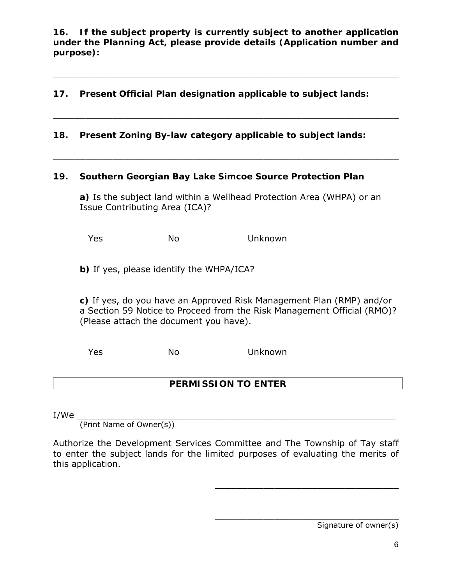**16. If the subject property is currently subject to another application under the Planning Act, please provide details (Application number and purpose):**

\_\_\_\_\_\_\_\_\_\_\_\_\_\_\_\_\_\_\_\_\_\_\_\_\_\_\_\_\_\_\_\_\_\_\_\_\_\_\_\_\_\_\_\_\_\_\_\_\_\_\_\_\_\_\_\_\_\_\_\_\_\_\_\_

\_\_\_\_\_\_\_\_\_\_\_\_\_\_\_\_\_\_\_\_\_\_\_\_\_\_\_\_\_\_\_\_\_\_\_\_\_\_\_\_\_\_\_\_\_\_\_\_\_\_\_\_\_\_\_\_\_\_\_\_\_\_\_\_

\_\_\_\_\_\_\_\_\_\_\_\_\_\_\_\_\_\_\_\_\_\_\_\_\_\_\_\_\_\_\_\_\_\_\_\_\_\_\_\_\_\_\_\_\_\_\_\_\_\_\_\_\_\_\_\_\_\_\_\_\_\_\_\_

### **17. Present Official Plan designation applicable to subject lands:**

**18. Present Zoning By-law category applicable to subject lands:**

#### **19. Southern Georgian Bay Lake Simcoe Source Protection Plan**

**a)** Is the subject land within a Wellhead Protection Area (WHPA) or an Issue Contributing Area (ICA)*?* 

Yes No Unknown

**b)** If yes, please identify the WHPA/ICA?

**c)** If yes, do you have an Approved Risk Management Plan (RMP) and/or a Section 59 Notice to Proceed from the Risk Management Official (RMO)? (Please attach the document you have).

Yes No Unknown

### **PERMISSION TO ENTER**

I/We \_\_\_\_\_\_\_\_\_\_\_\_\_\_\_\_\_\_\_\_\_\_\_\_\_\_\_\_\_\_\_\_\_\_\_\_\_\_\_\_\_\_\_\_\_\_\_\_\_\_\_\_\_\_\_\_\_\_\_

(Print Name of Owner(s))

Authorize the Development Services Committee and The Township of Tay staff to enter the subject lands for the limited purposes of evaluating the merits of this application.

Signature of owner(s)

\_\_\_\_\_\_\_\_\_\_\_\_\_\_\_\_\_\_\_\_\_\_\_\_\_\_\_\_\_\_\_\_\_\_

\_\_\_\_\_\_\_\_\_\_\_\_\_\_\_\_\_\_\_\_\_\_\_\_\_\_\_\_\_\_\_\_\_\_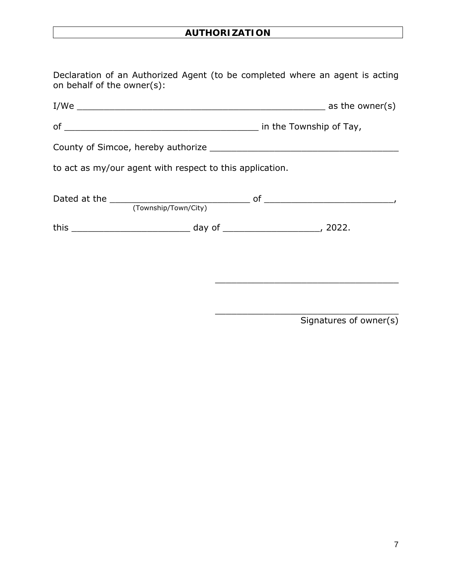# **AUTHORIZATION**

Declaration of an Authorized Agent (to be completed where an agent is acting on behalf of the owner(s):

| to act as my/our agent with respect to this application. |                      |  |  |  |  |
|----------------------------------------------------------|----------------------|--|--|--|--|
|                                                          | (Township/Town/City) |  |  |  |  |
|                                                          |                      |  |  |  |  |

Signatures of owner(s)

\_\_\_\_\_\_\_\_\_\_\_\_\_\_\_\_\_\_\_\_\_\_\_\_\_\_\_\_\_\_\_\_\_\_

\_\_\_\_\_\_\_\_\_\_\_\_\_\_\_\_\_\_\_\_\_\_\_\_\_\_\_\_\_\_\_\_\_\_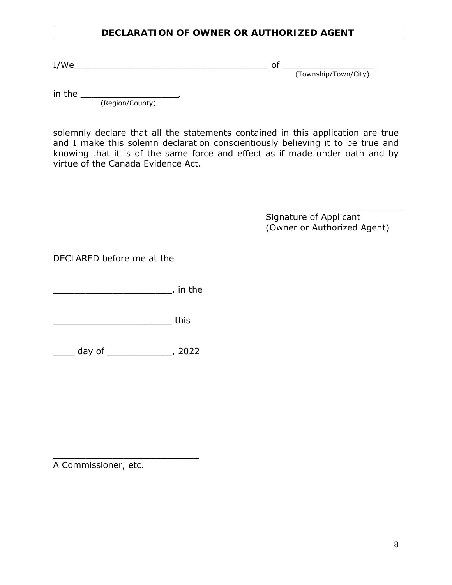### **DECLARATION OF OWNER OR AUTHORIZED AGENT**

I/We\_\_\_\_\_\_\_\_\_\_\_\_\_\_\_\_\_\_\_\_\_\_\_\_\_\_\_\_\_\_\_\_\_\_\_\_ of \_\_\_\_\_\_\_\_\_\_\_\_\_\_\_\_\_

(Township/Town/City)

in the \_\_\_\_\_\_\_\_\_\_\_\_\_\_\_\_\_\_,

(Region/County)

solemnly declare that all the statements contained in this application are true and I make this solemn declaration conscientiously believing it to be true and knowing that it is of the same force and effect as if made under oath and by virtue of the Canada Evidence Act.

> Signature of Applicant (Owner or Authorized Agent)

\_\_\_\_\_\_\_\_\_\_\_\_\_\_\_\_\_\_\_\_\_\_\_\_\_

DECLARED before me at the

\_\_\_\_\_\_\_\_\_\_\_\_\_\_\_\_\_\_\_\_\_\_, in the

\_\_\_\_\_\_\_\_\_\_\_\_\_\_\_\_\_\_\_\_\_\_\_\_\_\_\_\_\_\_\_\_ this

\_\_\_\_ day of \_\_\_\_\_\_\_\_\_\_\_\_, 2022

 $\overline{\phantom{a}}$  , which is a set of the set of the set of the set of the set of the set of the set of the set of the set of the set of the set of the set of the set of the set of the set of the set of the set of the set of th

A Commissioner, etc.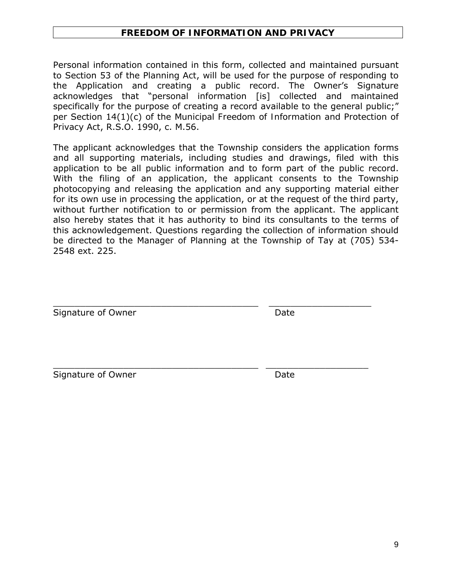### **FREEDOM OF INFORMATION AND PRIVACY**

Personal information contained in this form, collected and maintained pursuant to Section 53 of the *Planning Act*, will be used for the purpose of responding to the Application and creating a public record. The Owner's Signature acknowledges that "personal information [is] collected and maintained specifically for the purpose of creating a record available to the general public;" per Section 14(1)(c) of the *Municipal Freedom of Information and Protection of Privacy Act*, R.S.O. 1990, c. M.56.

The applicant acknowledges that the Township considers the application forms and all supporting materials, including studies and drawings, filed with this application to be all public information and to form part of the public record. With the filing of an application, the applicant consents to the Township photocopying and releasing the application and any supporting material either for its own use in processing the application, or at the request of the third party, without further notification to or permission from the applicant. The applicant also hereby states that it has authority to bind its consultants to the terms of this acknowledgement. Questions regarding the collection of information should be directed to the Manager of Planning at the Township of Tay at (705) 534- 2548 ext. 225.

\_\_\_\_\_\_\_\_\_\_\_\_\_\_\_\_\_\_\_\_\_\_\_\_\_\_\_\_\_\_\_\_\_\_\_\_\_\_ \_\_\_\_\_\_\_\_\_\_\_\_\_\_\_\_\_\_\_

\_\_\_\_\_\_\_\_\_\_\_\_\_\_\_\_\_\_\_\_\_\_\_\_\_\_\_\_\_\_\_\_\_\_\_\_\_\_ \_\_\_\_\_\_\_\_\_\_\_\_\_\_\_\_\_\_\_

Signature of Owner **Date** Date

Signature of Owner **Date** Date